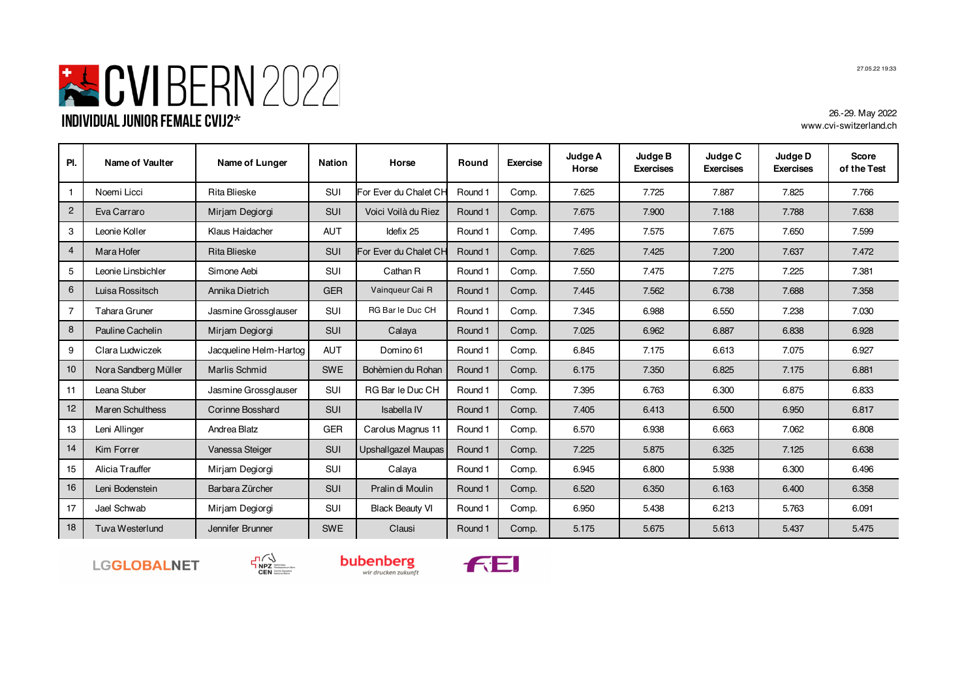## SUBERN 2022 **Individual Junior Female CVIJ2\***

26.-29. May 2022 www.cvi-switzerland.ch

| PI.            | Name of Vaulter         | Name of Lunger         | Nation     | Horse                  | Round   | <b>Exercise</b> | Judge A<br>Horse | Judge B<br><b>Exercises</b> | Judge C<br><b>Exercises</b> | Judge D<br><b>Exercises</b> | <b>Score</b><br>of the Test |
|----------------|-------------------------|------------------------|------------|------------------------|---------|-----------------|------------------|-----------------------------|-----------------------------|-----------------------------|-----------------------------|
|                | Noemi Licci             | <b>Rita Blieske</b>    | SUI        | For Ever du Chalet CH  | Round 1 | Comp.           | 7.625            | 7.725                       | 7.887                       | 7.825                       | 7.766                       |
| $\overline{2}$ | Eva Carraro             | Mirjam Degiorgi        | SUI        | Voici Voilà du Riez    | Round 1 | Comp.           | 7.675            | 7.900                       | 7.188                       | 7.788                       | 7.638                       |
| 3              | Leonie Koller           | Klaus Haidacher        | <b>AUT</b> | Idefix 25              | Round 1 | Comp.           | 7.495            | 7.575                       | 7.675                       | 7.650                       | 7.599                       |
| 4              | Mara Hofer              | <b>Rita Blieske</b>    | SUI        | For Ever du Chalet CH  | Round 1 | Comp.           | 7.625            | 7.425                       | 7.200                       | 7.637                       | 7.472                       |
| 5              | Leonie Linsbichler      | Simone Aebi            | <b>SUI</b> | Cathan R               | Round 1 | Comp.           | 7.550            | 7.475                       | 7.275                       | 7.225                       | 7.381                       |
| 6              | Luisa Rossitsch         | Annika Dietrich        | <b>GER</b> | Vainqueur Cai R        | Round 1 | Comp.           | 7.445            | 7.562                       | 6.738                       | 7.688                       | 7.358                       |
| $\overline{7}$ | Tahara Gruner           | Jasmine Grossglauser   | <b>SUI</b> | RG Bar le Duc CH       | Round 1 | Comp.           | 7.345            | 6.988                       | 6.550                       | 7.238                       | 7.030                       |
| 8              | Pauline Cachelin        | Mirjam Degiorgi        | SUI        | Calaya                 | Round 1 | Comp.           | 7.025            | 6.962                       | 6.887                       | 6.838                       | 6.928                       |
| 9              | Clara Ludwiczek         | Jacqueline Helm-Hartog | <b>AUT</b> | Domino 61              | Round 1 | Comp.           | 6.845            | 7.175                       | 6.613                       | 7.075                       | 6.927                       |
| 10             | Nora Sandberg Müller    | Marlis Schmid          | <b>SWE</b> | Bohèmien du Rohan      | Round 1 | Comp.           | 6.175            | 7.350                       | 6.825                       | 7.175                       | 6.881                       |
| 11             | Leana Stuber            | Jasmine Grossglauser   | <b>SUI</b> | RG Bar le Duc CH       | Round 1 | Comp.           | 7.395            | 6.763                       | 6.300                       | 6.875                       | 6.833                       |
| 12             | <b>Maren Schulthess</b> | Corinne Bosshard       | <b>SUI</b> | Isabella IV            | Round 1 | Comp.           | 7.405            | 6.413                       | 6.500                       | 6.950                       | 6.817                       |
| 13             | Leni Allinger           | Andrea Blatz           | <b>GER</b> | Carolus Magnus 11      | Round 1 | Comp.           | 6.570            | 6.938                       | 6.663                       | 7.062                       | 6.808                       |
| 14             | Kim Forrer              | Vanessa Steiger        | SUI        | Upshallgazel Maupas    | Round 1 | Comp.           | 7.225            | 5.875                       | 6.325                       | 7.125                       | 6.638                       |
| 15             | Alicia Trauffer         | Mirjam Degiorgi        | SUI        | Calaya                 | Round 1 | Comp.           | 6.945            | 6.800                       | 5.938                       | 6.300                       | 6.496                       |
| 16             | Leni Bodenstein         | Barbara Zürcher        | <b>SUI</b> | Pralin di Moulin       | Round 1 | Comp.           | 6.520            | 6.350                       | 6.163                       | 6.400                       | 6.358                       |
| 17             | Jael Schwab             | Mirjam Degiorgi        | SUI        | <b>Black Beauty VI</b> | Round 1 | Comp.           | 6.950            | 5.438                       | 6.213                       | 5.763                       | 6.091                       |
| 18             | Tuva Westerlund         | Jennifer Brunner       | <b>SWE</b> | Clausi                 | Round 1 | Comp.           | 5.175            | 5.675                       | 5.613                       | 5.437                       | 5.475                       |









27.05.22 19:33